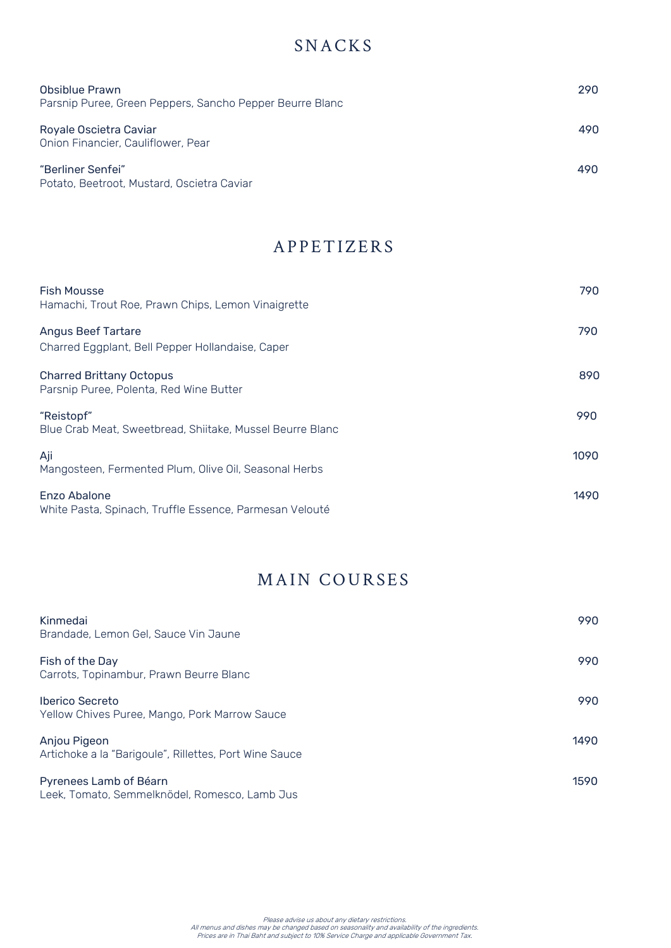## **SNACKS**

| Obsiblue Prawn<br>Parsnip Puree, Green Peppers, Sancho Pepper Beurre Blanc | 290 |
|----------------------------------------------------------------------------|-----|
| Royale Oscietra Caviar<br>Onion Financier, Cauliflower, Pear               | 490 |
| "Berliner Senfei"<br>Potato, Beetroot, Mustard, Oscietra Caviar            | 490 |

## **APPETIZERS**

| <b>Fish Mousse</b><br>Hamachi, Trout Roe, Prawn Chips, Lemon Vinaigrette      | 790  |
|-------------------------------------------------------------------------------|------|
| <b>Angus Beef Tartare</b><br>Charred Eggplant, Bell Pepper Hollandaise, Caper | 790  |
| <b>Charred Brittany Octopus</b><br>Parsnip Puree, Polenta, Red Wine Butter    | 890  |
| "Reistopf"<br>Blue Crab Meat, Sweetbread, Shiitake, Mussel Beurre Blanc       | 990  |
| Aji<br>Mangosteen, Fermented Plum, Olive Oil, Seasonal Herbs                  | 1090 |
| Enzo Abalone<br>White Pasta, Spinach, Truffle Essence, Parmesan Velouté       | 1490 |

## MAIN COURSES

| Kinmedai<br>Brandade, Lemon Gel, Sauce Vin Jaune                        | 990  |
|-------------------------------------------------------------------------|------|
| Fish of the Day<br>Carrots, Topinambur, Prawn Beurre Blanc              | 990  |
| <b>Iberico Secreto</b><br>Yellow Chives Puree, Mango, Pork Marrow Sauce | 990  |
| Anjou Pigeon<br>Artichoke a la "Barigoule", Rillettes, Port Wine Sauce  | 1490 |
| Pyrenees Lamb of Béarn<br>Leek Tamata Cammalkaädel Damassa Lamb Jus     | 1590 |